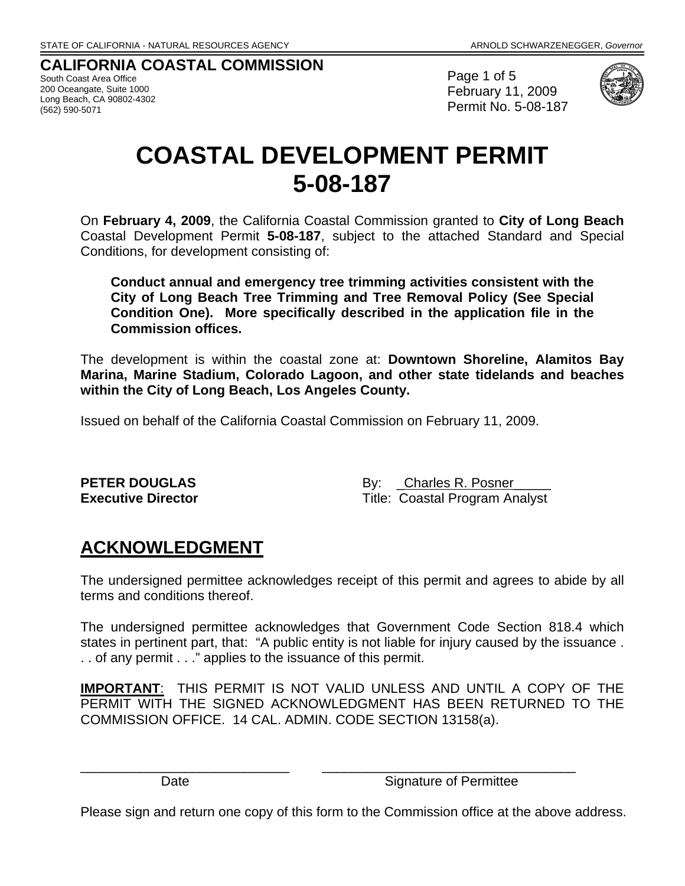# **CALIFORNIA COASTAL COMMISSION**

South Coast Area Office 200 Oceangate, Suite 1000 Long Beach, CA 90802-4302 (562) 590-5071

Page 1 of 5 February 11, 2009 Permit No. 5-08-187



# **COASTAL DEVELOPMENT PERMIT 5-08-187**

On **February 4, 2009**, the California Coastal Commission granted to **City of Long Beach** Coastal Development Permit **5-08-187**, subject to the attached Standard and Special Conditions, for development consisting of:

**Conduct annual and emergency tree trimming activities consistent with the City of Long Beach Tree Trimming and Tree Removal Policy (See Special Condition One). More specifically described in the application file in the Commission offices.** 

The development is within the coastal zone at: **Downtown Shoreline, Alamitos Bay Marina, Marine Stadium, Colorado Lagoon, and other state tidelands and beaches within the City of Long Beach, Los Angeles County.** 

Issued on behalf of the California Coastal Commission on February 11, 2009.

**PETER DOUGLAS** By: Charles R. Posner **Executive Director** Title: Coastal Program Analyst

# **ACKNOWLEDGMENT**

The undersigned permittee acknowledges receipt of this permit and agrees to abide by all terms and conditions thereof.

The undersigned permittee acknowledges that Government Code Section 818.4 which states in pertinent part, that: "A public entity is not liable for injury caused by the issuance. . . of any permit . . ." applies to the issuance of this permit.

**IMPORTANT**: THIS PERMIT IS NOT VALID UNLESS AND UNTIL A COPY OF THE PERMIT WITH THE SIGNED ACKNOWLEDGMENT HAS BEEN RETURNED TO THE COMMISSION OFFICE. 14 CAL. ADMIN. CODE SECTION 13158(a).

Date Signature of Permittee

Please sign and return one copy of this form to the Commission office at the above address.

\_\_\_\_\_\_\_\_\_\_\_\_\_\_\_\_\_\_\_\_\_\_\_\_\_\_\_\_ \_\_\_\_\_\_\_\_\_\_\_\_\_\_\_\_\_\_\_\_\_\_\_\_\_\_\_\_\_\_\_\_\_\_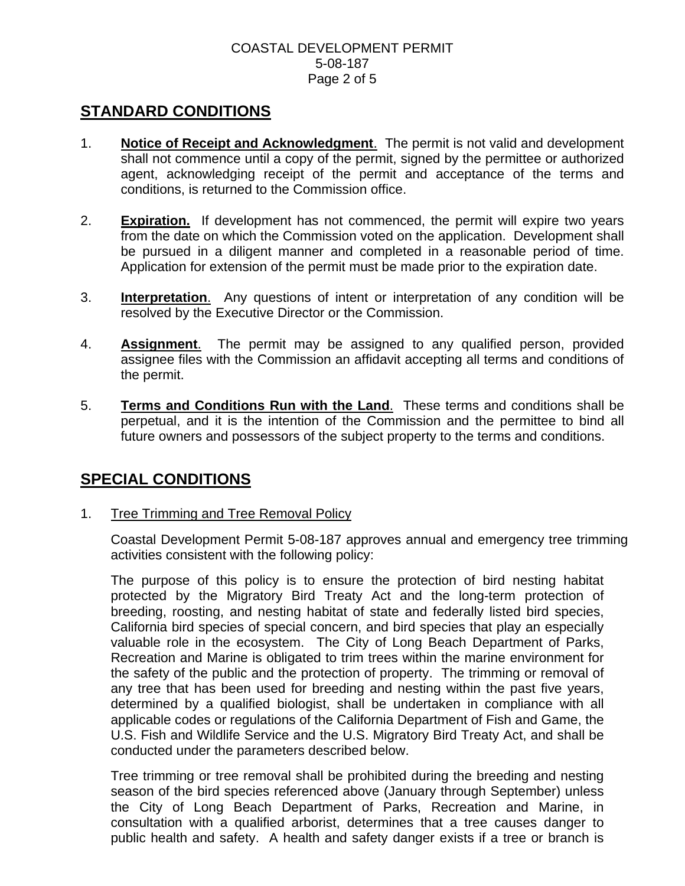### COASTAL DEVELOPMENT PERMIT 5-08-187 Page 2 of 5

# **STANDARD CONDITIONS**

- 1. **Notice of Receipt and Acknowledgment**. The permit is not valid and development shall not commence until a copy of the permit, signed by the permittee or authorized agent, acknowledging receipt of the permit and acceptance of the terms and conditions, is returned to the Commission office.
- 2. **Expiration.** If development has not commenced, the permit will expire two years from the date on which the Commission voted on the application. Development shall be pursued in a diligent manner and completed in a reasonable period of time. Application for extension of the permit must be made prior to the expiration date.
- 3. **Interpretation**. Any questions of intent or interpretation of any condition will be resolved by the Executive Director or the Commission.
- 4. **Assignment**. The permit may be assigned to any qualified person, provided assignee files with the Commission an affidavit accepting all terms and conditions of the permit.
- 5. **Terms and Conditions Run with the Land**. These terms and conditions shall be perpetual, and it is the intention of the Commission and the permittee to bind all future owners and possessors of the subject property to the terms and conditions.

# **SPECIAL CONDITIONS**

1. Tree Trimming and Tree Removal Policy

Coastal Development Permit 5-08-187 approves annual and emergency tree trimming activities consistent with the following policy:

The purpose of this policy is to ensure the protection of bird nesting habitat protected by the Migratory Bird Treaty Act and the long-term protection of breeding, roosting, and nesting habitat of state and federally listed bird species, California bird species of special concern, and bird species that play an especially valuable role in the ecosystem. The City of Long Beach Department of Parks, Recreation and Marine is obligated to trim trees within the marine environment for the safety of the public and the protection of property. The trimming or removal of any tree that has been used for breeding and nesting within the past five years, determined by a qualified biologist, shall be undertaken in compliance with all applicable codes or regulations of the California Department of Fish and Game, the U.S. Fish and Wildlife Service and the U.S. Migratory Bird Treaty Act, and shall be conducted under the parameters described below.

Tree trimming or tree removal shall be prohibited during the breeding and nesting season of the bird species referenced above (January through September) unless the City of Long Beach Department of Parks, Recreation and Marine, in consultation with a qualified arborist, determines that a tree causes danger to public health and safety. A health and safety danger exists if a tree or branch is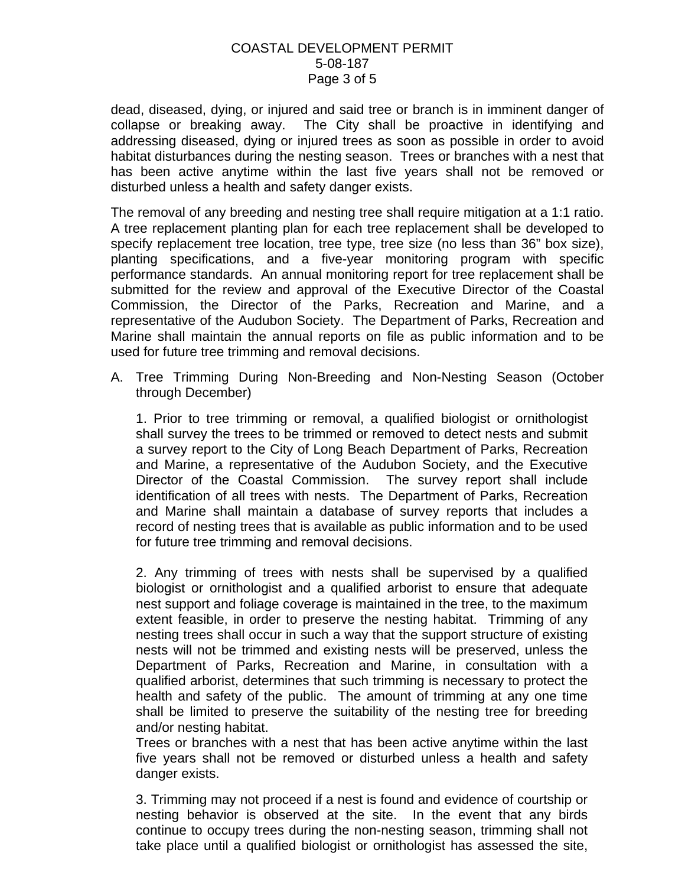### COASTAL DEVELOPMENT PERMIT 5-08-187 Page 3 of 5

dead, diseased, dying, or injured and said tree or branch is in imminent danger of collapse or breaking away. The City shall be proactive in identifying and addressing diseased, dying or injured trees as soon as possible in order to avoid habitat disturbances during the nesting season. Trees or branches with a nest that has been active anytime within the last five years shall not be removed or disturbed unless a health and safety danger exists.

The removal of any breeding and nesting tree shall require mitigation at a 1:1 ratio. A tree replacement planting plan for each tree replacement shall be developed to specify replacement tree location, tree type, tree size (no less than 36" box size), planting specifications, and a five-year monitoring program with specific performance standards. An annual monitoring report for tree replacement shall be submitted for the review and approval of the Executive Director of the Coastal Commission, the Director of the Parks, Recreation and Marine, and a representative of the Audubon Society. The Department of Parks, Recreation and Marine shall maintain the annual reports on file as public information and to be used for future tree trimming and removal decisions.

A. Tree Trimming During Non-Breeding and Non-Nesting Season (October through December)

1. Prior to tree trimming or removal, a qualified biologist or ornithologist shall survey the trees to be trimmed or removed to detect nests and submit a survey report to the City of Long Beach Department of Parks, Recreation and Marine, a representative of the Audubon Society, and the Executive Director of the Coastal Commission. The survey report shall include identification of all trees with nests. The Department of Parks, Recreation and Marine shall maintain a database of survey reports that includes a record of nesting trees that is available as public information and to be used for future tree trimming and removal decisions.

2. Any trimming of trees with nests shall be supervised by a qualified biologist or ornithologist and a qualified arborist to ensure that adequate nest support and foliage coverage is maintained in the tree, to the maximum extent feasible, in order to preserve the nesting habitat. Trimming of any nesting trees shall occur in such a way that the support structure of existing nests will not be trimmed and existing nests will be preserved, unless the Department of Parks, Recreation and Marine, in consultation with a qualified arborist, determines that such trimming is necessary to protect the health and safety of the public. The amount of trimming at any one time shall be limited to preserve the suitability of the nesting tree for breeding and/or nesting habitat.

Trees or branches with a nest that has been active anytime within the last five years shall not be removed or disturbed unless a health and safety danger exists.

3. Trimming may not proceed if a nest is found and evidence of courtship or nesting behavior is observed at the site. In the event that any birds continue to occupy trees during the non-nesting season, trimming shall not take place until a qualified biologist or ornithologist has assessed the site,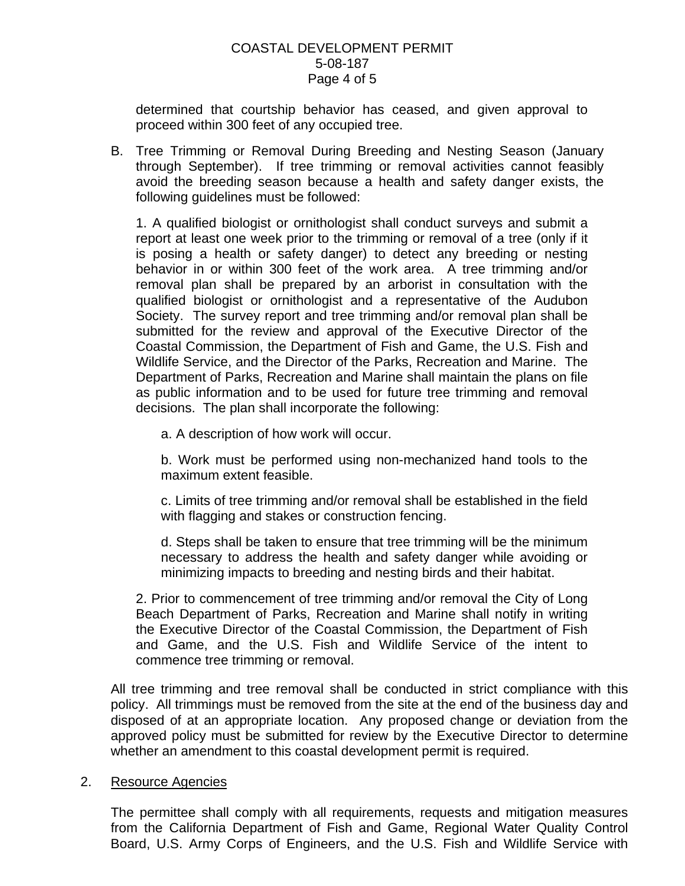#### COASTAL DEVELOPMENT PERMIT 5-08-187 Page 4 of 5

determined that courtship behavior has ceased, and given approval to proceed within 300 feet of any occupied tree.

B. Tree Trimming or Removal During Breeding and Nesting Season (January through September). If tree trimming or removal activities cannot feasibly avoid the breeding season because a health and safety danger exists, the following guidelines must be followed:

1. A qualified biologist or ornithologist shall conduct surveys and submit a report at least one week prior to the trimming or removal of a tree (only if it is posing a health or safety danger) to detect any breeding or nesting behavior in or within 300 feet of the work area. A tree trimming and/or removal plan shall be prepared by an arborist in consultation with the qualified biologist or ornithologist and a representative of the Audubon Society. The survey report and tree trimming and/or removal plan shall be submitted for the review and approval of the Executive Director of the Coastal Commission, the Department of Fish and Game, the U.S. Fish and Wildlife Service, and the Director of the Parks, Recreation and Marine. The Department of Parks, Recreation and Marine shall maintain the plans on file as public information and to be used for future tree trimming and removal decisions. The plan shall incorporate the following:

a. A description of how work will occur.

b. Work must be performed using non-mechanized hand tools to the maximum extent feasible.

c. Limits of tree trimming and/or removal shall be established in the field with flagging and stakes or construction fencing.

d. Steps shall be taken to ensure that tree trimming will be the minimum necessary to address the health and safety danger while avoiding or minimizing impacts to breeding and nesting birds and their habitat.

2. Prior to commencement of tree trimming and/or removal the City of Long Beach Department of Parks, Recreation and Marine shall notify in writing the Executive Director of the Coastal Commission, the Department of Fish and Game, and the U.S. Fish and Wildlife Service of the intent to commence tree trimming or removal.

All tree trimming and tree removal shall be conducted in strict compliance with this policy. All trimmings must be removed from the site at the end of the business day and disposed of at an appropriate location. Any proposed change or deviation from the approved policy must be submitted for review by the Executive Director to determine whether an amendment to this coastal development permit is required.

## 2. Resource Agencies

The permittee shall comply with all requirements, requests and mitigation measures from the California Department of Fish and Game, Regional Water Quality Control Board, U.S. Army Corps of Engineers, and the U.S. Fish and Wildlife Service with